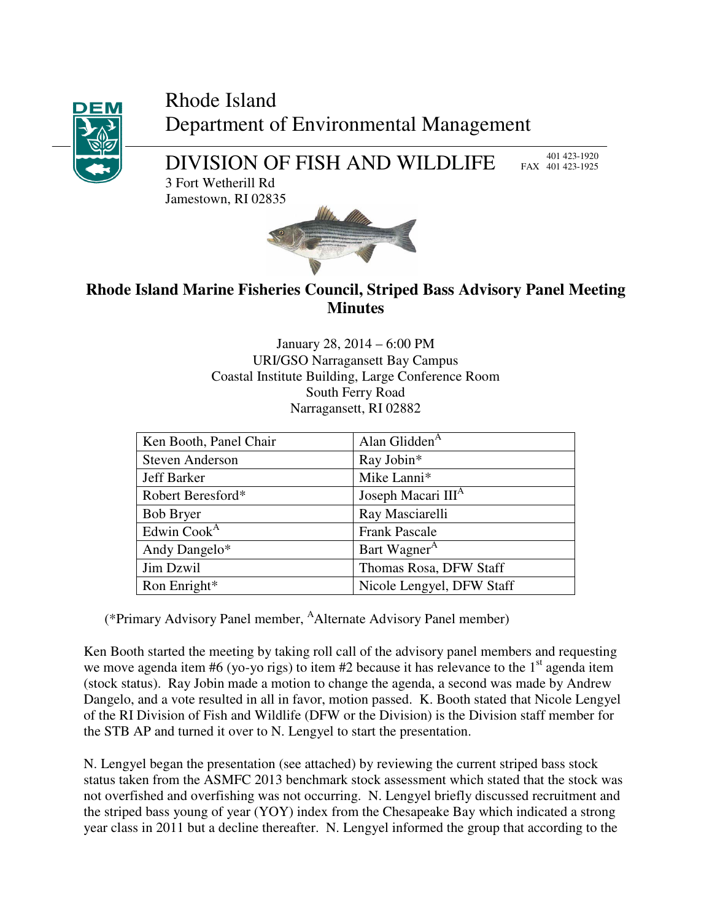

Rhode Island Department of Environmental Management

DIVISION OF FISH AND WILDLIFE 3 Fort Wetherill Rd

 401 423-1920 FAX 401 423-1925



#### **Rhode Island Marine Fisheries Council, Striped Bass Advisory Panel Meeting Minutes**

January 28, 2014 – 6:00 PM URI/GSO Narragansett Bay Campus Coastal Institute Building, Large Conference Room South Ferry Road Narragansett, RI 02882

| Ken Booth, Panel Chair  | Alan Glidden <sup>A</sup>      |
|-------------------------|--------------------------------|
| <b>Steven Anderson</b>  | Ray Jobin*                     |
| Jeff Barker             | Mike Lanni*                    |
| Robert Beresford*       | Joseph Macari III <sup>A</sup> |
| <b>Bob Bryer</b>        | Ray Masciarelli                |
| Edwin Cook <sup>A</sup> | <b>Frank Pascale</b>           |
| Andy Dangelo*           | Bart Wagner <sup>A</sup>       |
| Jim Dzwil               | Thomas Rosa, DFW Staff         |
| Ron Enright*            | Nicole Lengyel, DFW Staff      |

(\*Primary Advisory Panel member, <sup>A</sup>Alternate Advisory Panel member)

Ken Booth started the meeting by taking roll call of the advisory panel members and requesting we move agenda item #6 (yo-yo rigs) to item #2 because it has relevance to the  $1<sup>st</sup>$  agenda item (stock status). Ray Jobin made a motion to change the agenda, a second was made by Andrew Dangelo, and a vote resulted in all in favor, motion passed. K. Booth stated that Nicole Lengyel of the RI Division of Fish and Wildlife (DFW or the Division) is the Division staff member for the STB AP and turned it over to N. Lengyel to start the presentation.

N. Lengyel began the presentation (see attached) by reviewing the current striped bass stock status taken from the ASMFC 2013 benchmark stock assessment which stated that the stock was not overfished and overfishing was not occurring. N. Lengyel briefly discussed recruitment and the striped bass young of year (YOY) index from the Chesapeake Bay which indicated a strong year class in 2011 but a decline thereafter. N. Lengyel informed the group that according to the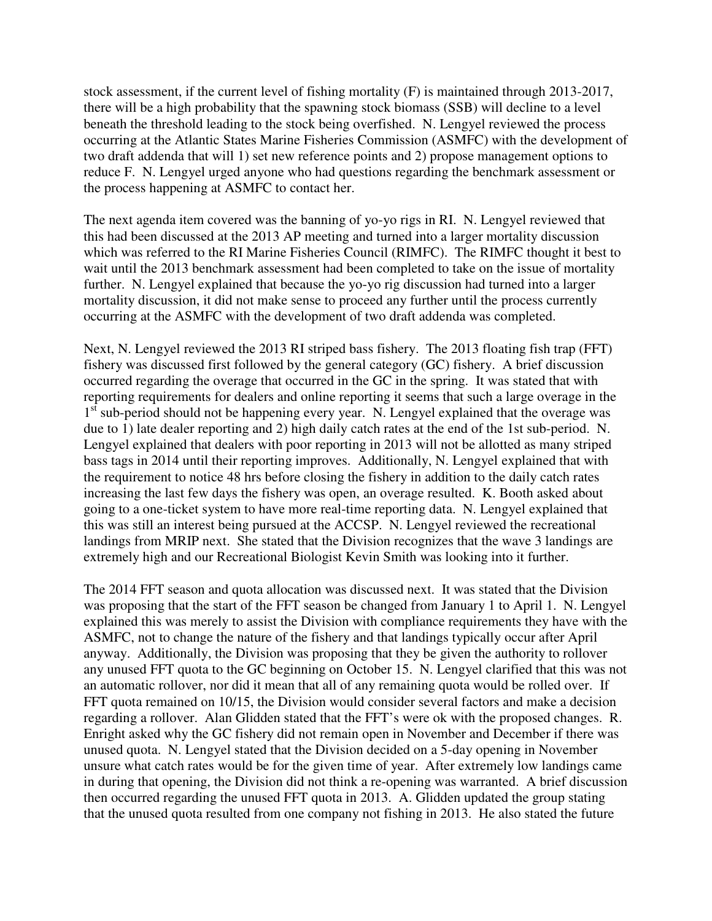stock assessment, if the current level of fishing mortality (F) is maintained through 2013-2017, there will be a high probability that the spawning stock biomass (SSB) will decline to a level beneath the threshold leading to the stock being overfished. N. Lengyel reviewed the process occurring at the Atlantic States Marine Fisheries Commission (ASMFC) with the development of two draft addenda that will 1) set new reference points and 2) propose management options to reduce F. N. Lengyel urged anyone who had questions regarding the benchmark assessment or the process happening at ASMFC to contact her.

The next agenda item covered was the banning of yo-yo rigs in RI. N. Lengyel reviewed that this had been discussed at the 2013 AP meeting and turned into a larger mortality discussion which was referred to the RI Marine Fisheries Council (RIMFC). The RIMFC thought it best to wait until the 2013 benchmark assessment had been completed to take on the issue of mortality further. N. Lengyel explained that because the yo-yo rig discussion had turned into a larger mortality discussion, it did not make sense to proceed any further until the process currently occurring at the ASMFC with the development of two draft addenda was completed.

Next, N. Lengyel reviewed the 2013 RI striped bass fishery. The 2013 floating fish trap (FFT) fishery was discussed first followed by the general category (GC) fishery. A brief discussion occurred regarding the overage that occurred in the GC in the spring. It was stated that with reporting requirements for dealers and online reporting it seems that such a large overage in the 1<sup>st</sup> sub-period should not be happening every year. N. Lengyel explained that the overage was due to 1) late dealer reporting and 2) high daily catch rates at the end of the 1st sub-period. N. Lengyel explained that dealers with poor reporting in 2013 will not be allotted as many striped bass tags in 2014 until their reporting improves. Additionally, N. Lengyel explained that with the requirement to notice 48 hrs before closing the fishery in addition to the daily catch rates increasing the last few days the fishery was open, an overage resulted. K. Booth asked about going to a one-ticket system to have more real-time reporting data. N. Lengyel explained that this was still an interest being pursued at the ACCSP. N. Lengyel reviewed the recreational landings from MRIP next. She stated that the Division recognizes that the wave 3 landings are extremely high and our Recreational Biologist Kevin Smith was looking into it further.

The 2014 FFT season and quota allocation was discussed next. It was stated that the Division was proposing that the start of the FFT season be changed from January 1 to April 1. N. Lengyel explained this was merely to assist the Division with compliance requirements they have with the ASMFC, not to change the nature of the fishery and that landings typically occur after April anyway. Additionally, the Division was proposing that they be given the authority to rollover any unused FFT quota to the GC beginning on October 15. N. Lengyel clarified that this was not an automatic rollover, nor did it mean that all of any remaining quota would be rolled over. If FFT quota remained on 10/15, the Division would consider several factors and make a decision regarding a rollover. Alan Glidden stated that the FFT's were ok with the proposed changes. R. Enright asked why the GC fishery did not remain open in November and December if there was unused quota. N. Lengyel stated that the Division decided on a 5-day opening in November unsure what catch rates would be for the given time of year. After extremely low landings came in during that opening, the Division did not think a re-opening was warranted. A brief discussion then occurred regarding the unused FFT quota in 2013. A. Glidden updated the group stating that the unused quota resulted from one company not fishing in 2013. He also stated the future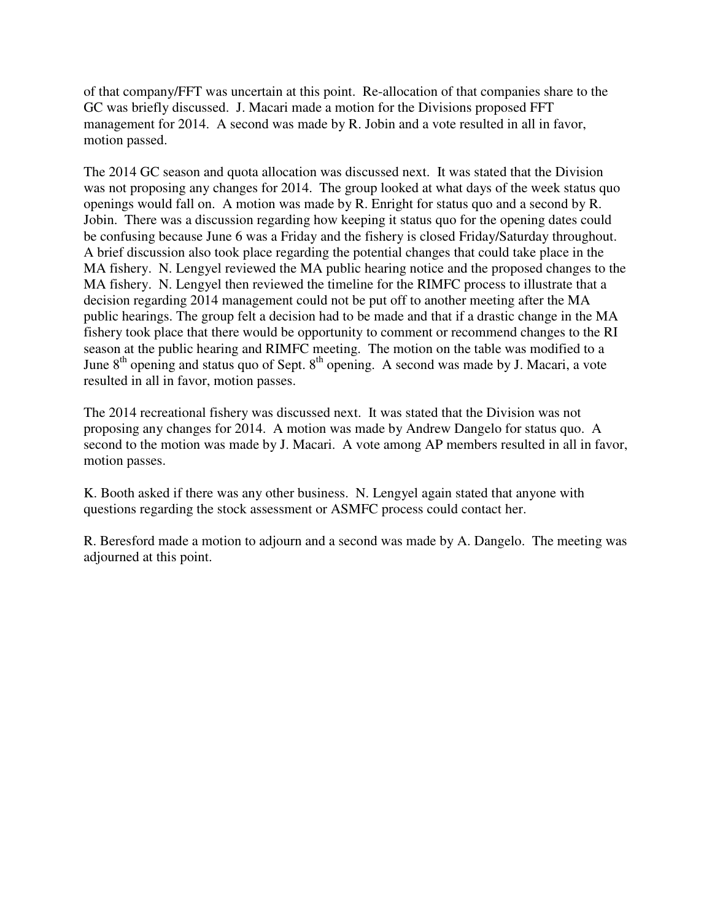of that company/FFT was uncertain at this point. Re-allocation of that companies share to the GC was briefly discussed. J. Macari made a motion for the Divisions proposed FFT management for 2014. A second was made by R. Jobin and a vote resulted in all in favor, motion passed.

The 2014 GC season and quota allocation was discussed next. It was stated that the Division was not proposing any changes for 2014. The group looked at what days of the week status quo openings would fall on. A motion was made by R. Enright for status quo and a second by R. Jobin. There was a discussion regarding how keeping it status quo for the opening dates could be confusing because June 6 was a Friday and the fishery is closed Friday/Saturday throughout. A brief discussion also took place regarding the potential changes that could take place in the MA fishery. N. Lengyel reviewed the MA public hearing notice and the proposed changes to the MA fishery. N. Lengyel then reviewed the timeline for the RIMFC process to illustrate that a decision regarding 2014 management could not be put off to another meeting after the MA public hearings. The group felt a decision had to be made and that if a drastic change in the MA fishery took place that there would be opportunity to comment or recommend changes to the RI season at the public hearing and RIMFC meeting. The motion on the table was modified to a June  $8<sup>th</sup>$  opening and status quo of Sept.  $8<sup>th</sup>$  opening. A second was made by J. Macari, a vote resulted in all in favor, motion passes.

The 2014 recreational fishery was discussed next. It was stated that the Division was not proposing any changes for 2014. A motion was made by Andrew Dangelo for status quo. A second to the motion was made by J. Macari. A vote among AP members resulted in all in favor, motion passes.

K. Booth asked if there was any other business. N. Lengyel again stated that anyone with questions regarding the stock assessment or ASMFC process could contact her.

R. Beresford made a motion to adjourn and a second was made by A. Dangelo. The meeting was adjourned at this point.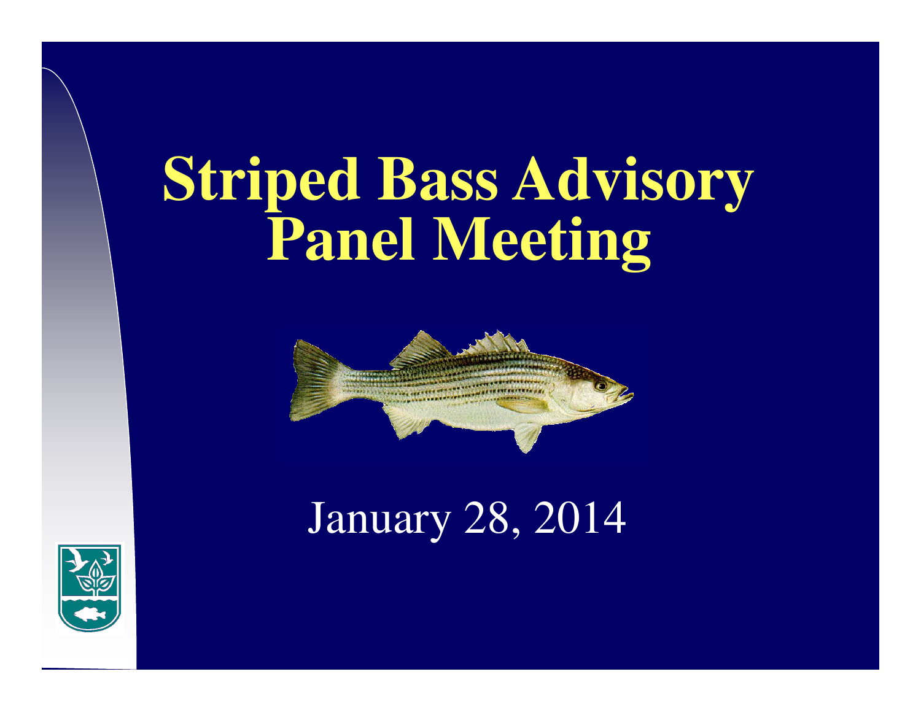# **Striped Bass Advisory Panel Meeting**



## January 28, 2014

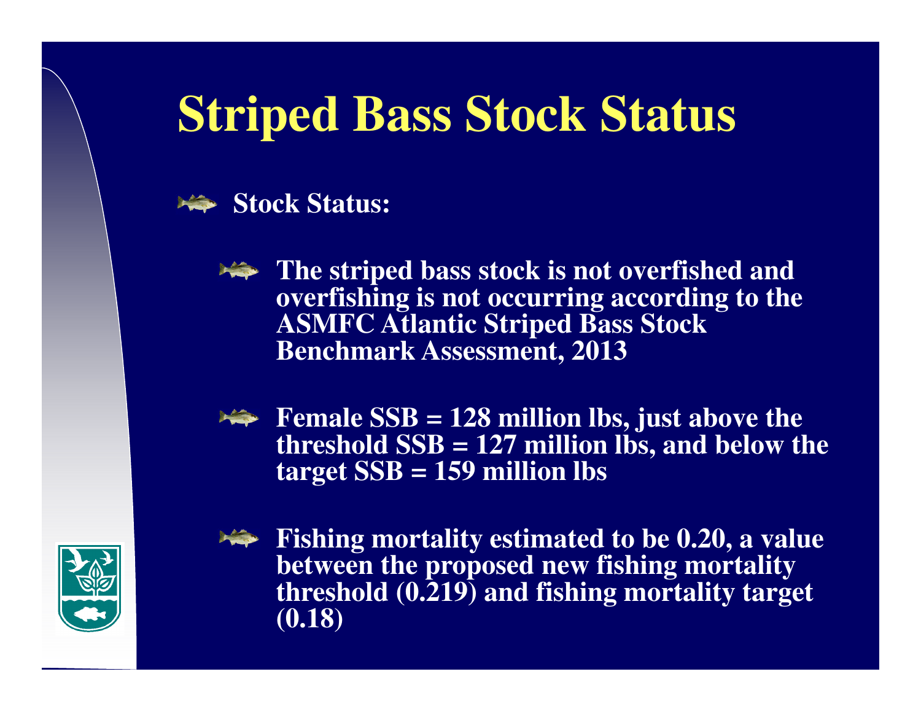# **Striped Bass Stock Status**



**The striped bass stock is not overfished and overfishing is not occurring according to the ASMFC Atlantic Striped Bass Stock Benchmark Assessment, 2013**





**Fishing mortality estimated to be 0.20, a value between the proposed new fishing mortality threshold (0.219) and fishing mortality target (0.18)**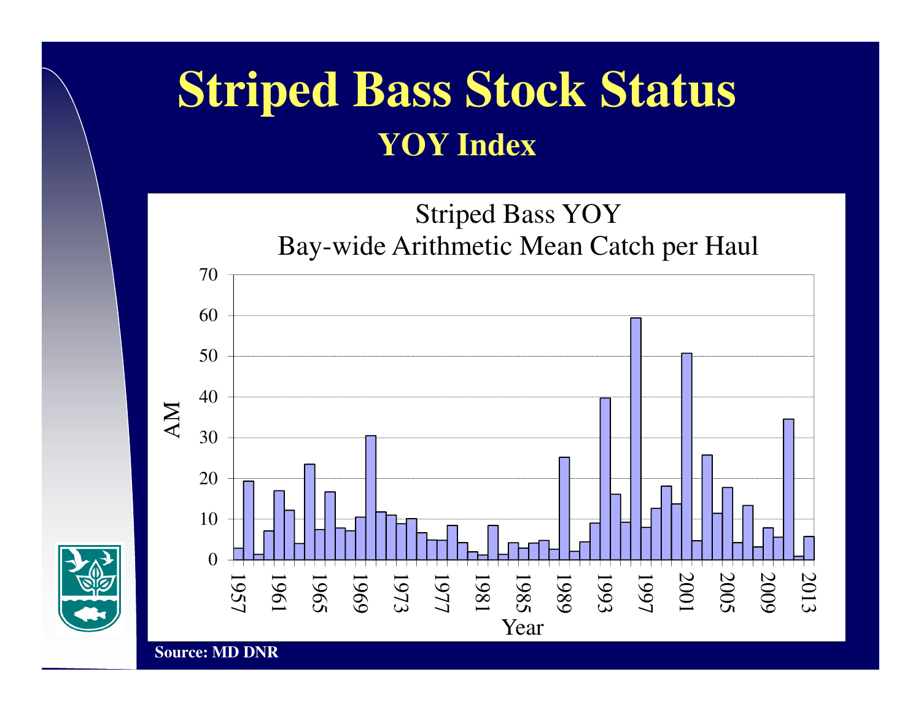# **Striped Bass Stock StatusYOY Index**



**Source: MD DNR**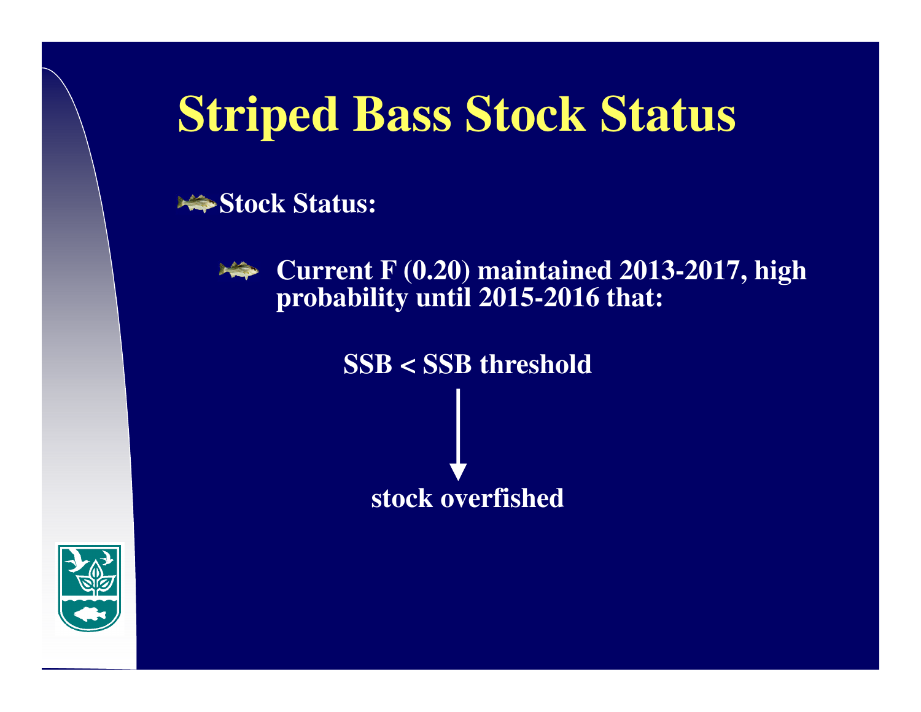# **Striped Bass Stock Status**

Stock Status:



**Current F (0.20) maintained 2013-2017, high probability until 2015-2016 that:**

**SSB < SSB threshold** 

**stock overfished**

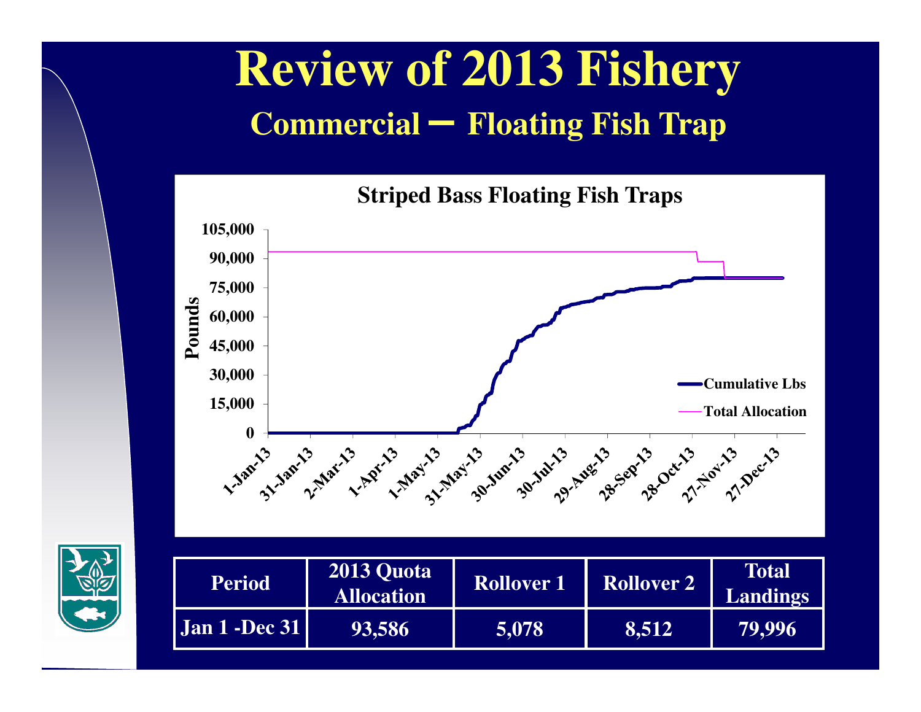# **Review of 2013 FisheryCommercial – Floating Fish Trap**

**Striped Bass Floating Fish Traps**



**93,586 5,078 8,512 79,996**

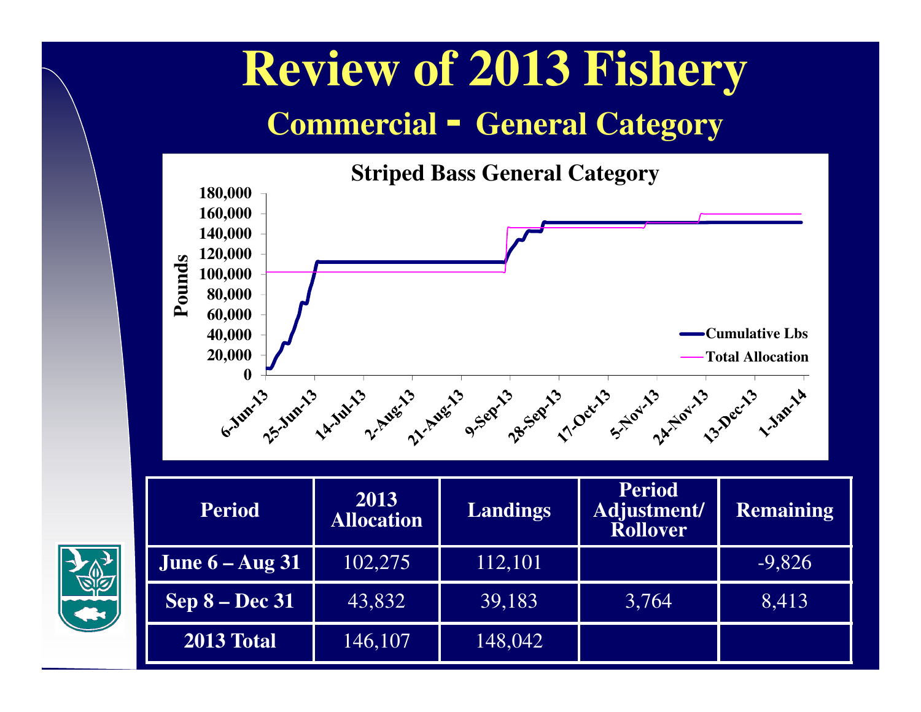# **Review of 2013 Fishery**

### **Commercial - General Category**



|                 | <b>Period</b>     | 2013<br><b>Allocation</b> | <b>Landings</b> | <b>Period</b><br><b>Adjustment</b><br><b>Rollover</b> | <b>Remaining</b> |
|-----------------|-------------------|---------------------------|-----------------|-------------------------------------------------------|------------------|
| <b>CDA</b><br>B | June $6 - Aug$ 31 | 102,275                   | 112,101         |                                                       | $-9,826$         |
|                 | $Sep 8 - Dec 31$  | 43,832                    | 39,183          | 3,764                                                 | 8,413            |
|                 | 2013 Total        | 146,107                   | 148,042         |                                                       |                  |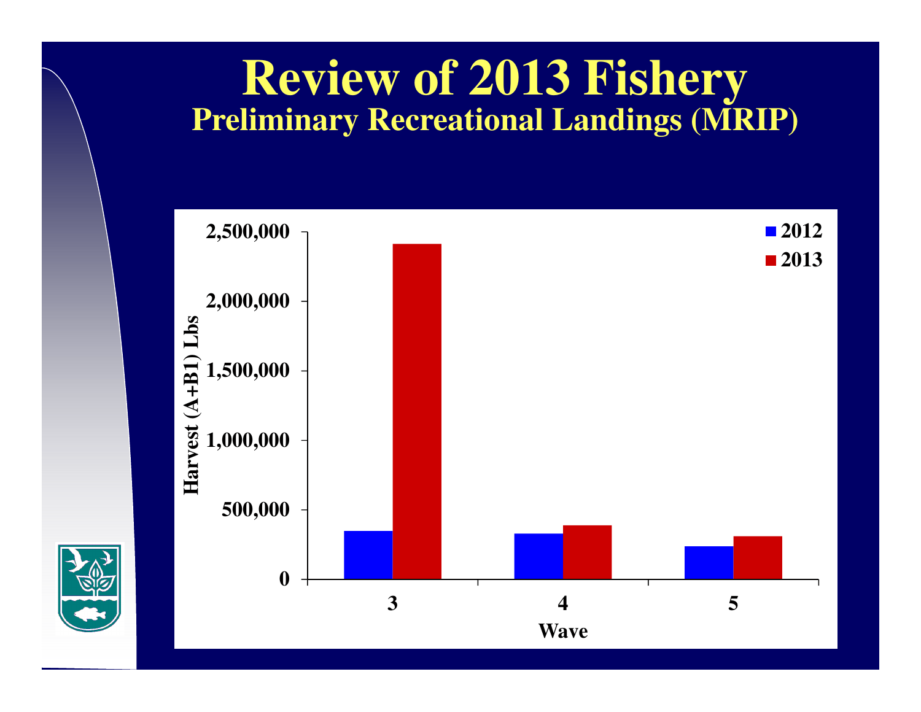### **Review of 2013 FisheryPreliminary Recreational Landings (MRIP)**

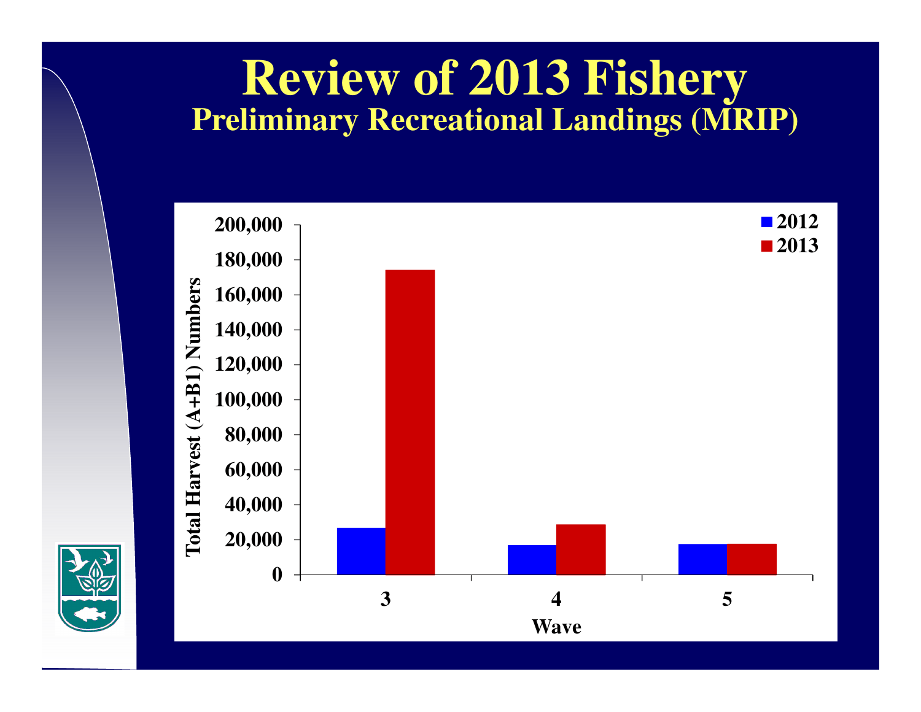### **Review of 2013 FisheryPreliminary Recreational Landings (MRIP)**

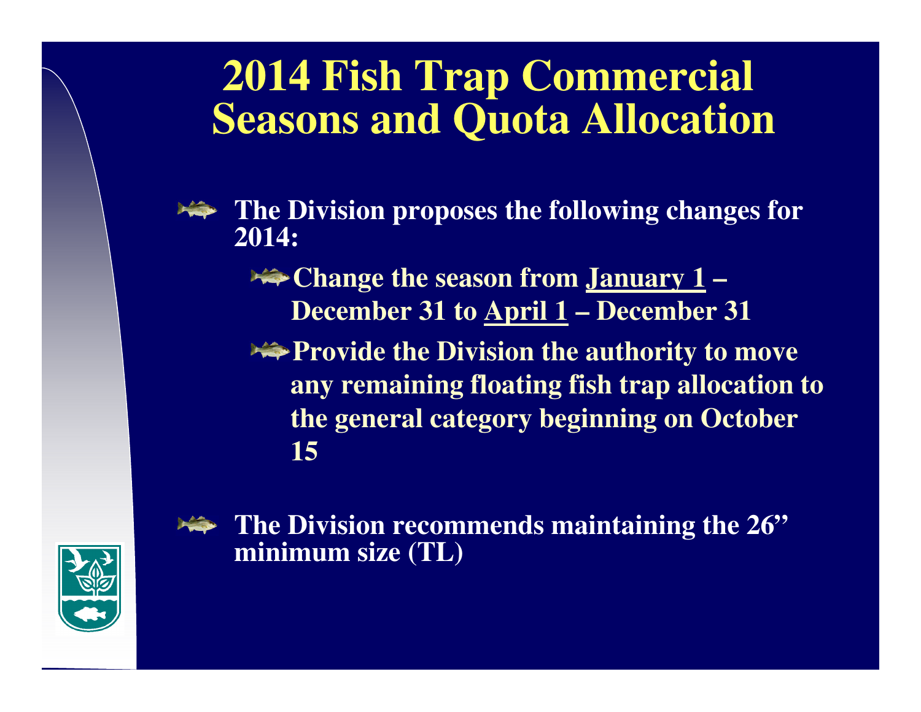### **2014 Fish Trap CommercialSeasons and Quota Allocation**



- **The Division proposes the following changes for 2014:**
	- **Change the season from January 1 –December 31 to April 1 – December 31**
	- **Provide the Division the authority to move any remaining floating fish trap allocation to the general category beginning on October 15**



**The Division recommends maintaining the 26" minimum size (TL)**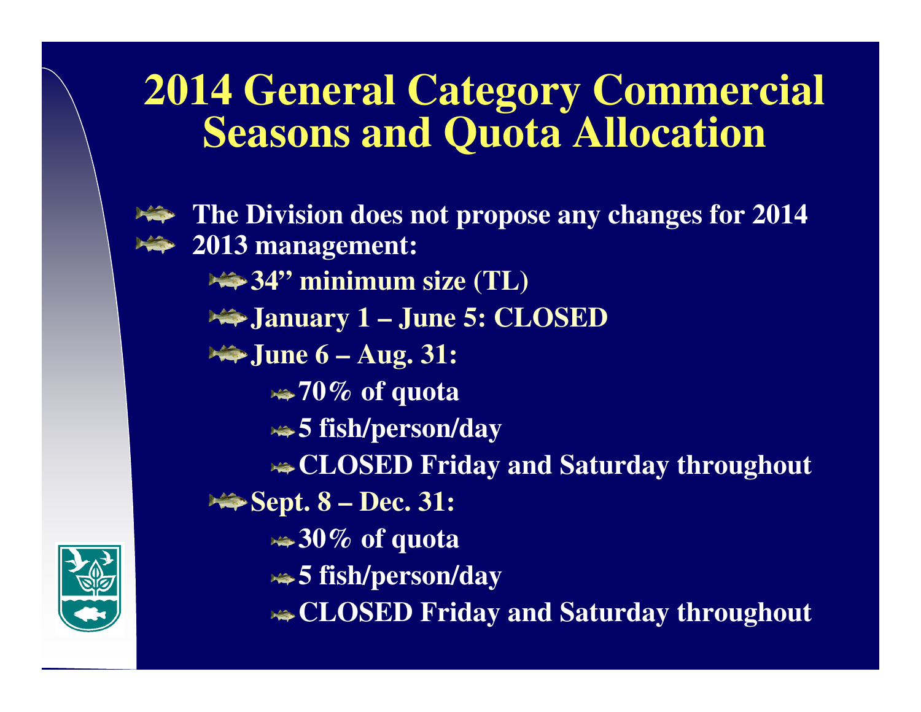### **2014 General Category Commercial Seasons and Quota Allocation**



**The Division does not propose any changes for 2014 2013 management: 34"** minimum size (TL) **January 1 – June 5: CLOSEDJune 6 – Aug. 31: 70% of quota 5 fish/person/day CLOSED Friday and Saturday throughout**<del>**<del>■</del> Sept. 8 – Dec. 31:**</del> **30% of quota5 fish/person/day CLOSED Friday and Saturday throughout**

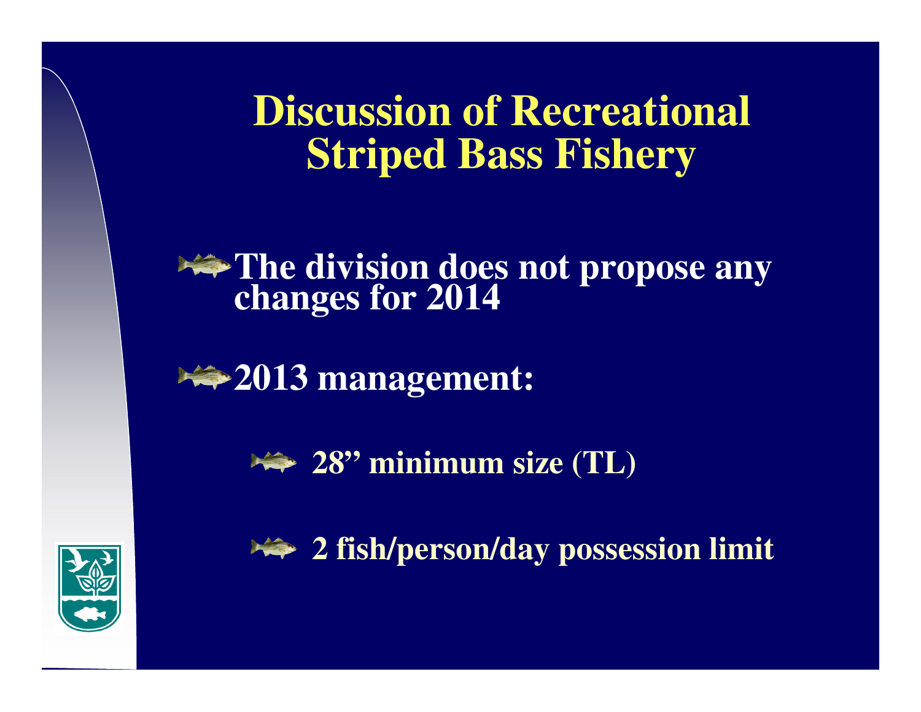**Discussion of RecreationalStriped Bass Fishery**

**The division does not propose any changes for 2014** 

**2013 management:** 

**28" minimum size (TL)** 



**2 fish/person/day possession limit**